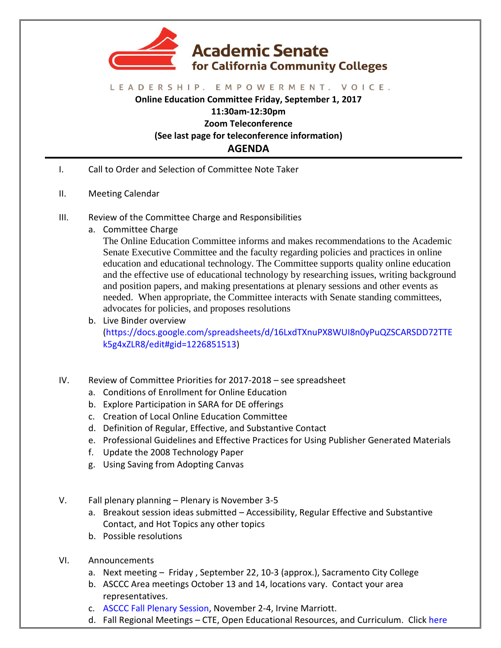

## LEADERSHIP. EMPOWERMENT. VOICE.

**Online Education Committee Friday, September 1, 2017 11:30am-12:30pm Zoom Teleconference (See last page for teleconference information) AGENDA**

- I. Call to Order and Selection of Committee Note Taker
- II. Meeting Calendar
- III. Review of the Committee Charge and Responsibilities
	- a. Committee Charge

The Online Education Committee informs and makes recommendations to the Academic Senate Executive Committee and the faculty regarding policies and practices in online education and educational technology. The Committee supports quality online education and the effective use of educational technology by researching issues, writing background and position papers, and making presentations at plenary sessions and other events as needed. When appropriate, the Committee interacts with Senate standing committees, advocates for policies, and proposes resolutions

- b. Live Binder overview [\(https://docs.google.com/spreadsheets/d/16LxdTXnuPX8WUI8n0yPuQZSCARSDD72TTE](https://docs.google.com/spreadsheets/d/16LxdTXnuPX8WUI8n0yPuQZSCARSDD72TTEk5g4xZLR8/edit#gid=1226851513) [k5g4xZLR8/edit#gid=1226851513\)](https://docs.google.com/spreadsheets/d/16LxdTXnuPX8WUI8n0yPuQZSCARSDD72TTEk5g4xZLR8/edit#gid=1226851513)
- IV. Review of Committee Priorities for 2017-2018 see spreadsheet
	- a. Conditions of Enrollment for Online Education
	- b. Explore Participation in SARA for DE offerings
	- c. Creation of Local Online Education Committee
	- d. Definition of Regular, Effective, and Substantive Contact
	- e. Professional Guidelines and Effective Practices for Using Publisher Generated Materials
	- f. Update the 2008 Technology Paper
	- g. Using Saving from Adopting Canvas
- V. Fall plenary planning Plenary is November 3-5
	- a. Breakout session ideas submitted Accessibility, Regular Effective and Substantive Contact, and Hot Topics any other topics
	- b. Possible resolutions
- VI. Announcements
	- a. Next meeting Friday , September 22, 10-3 (approx.), Sacramento City College
	- b. ASCCC Area meetings October 13 and 14, locations vary. Contact your area representatives.
	- c. [ASCCC Fall Plenary Session,](http://www.asccc.org/events/2017-11-02-150000-2017-11-04-230000/2017-fall-plenary-session) November 2-4, Irvine Marriott.
	- d. Fall Regional Meetings CTE, Open Educational Resources, and Curriculum. Click [here](http://www.asccc.org/calendar/list/regional-meetings)